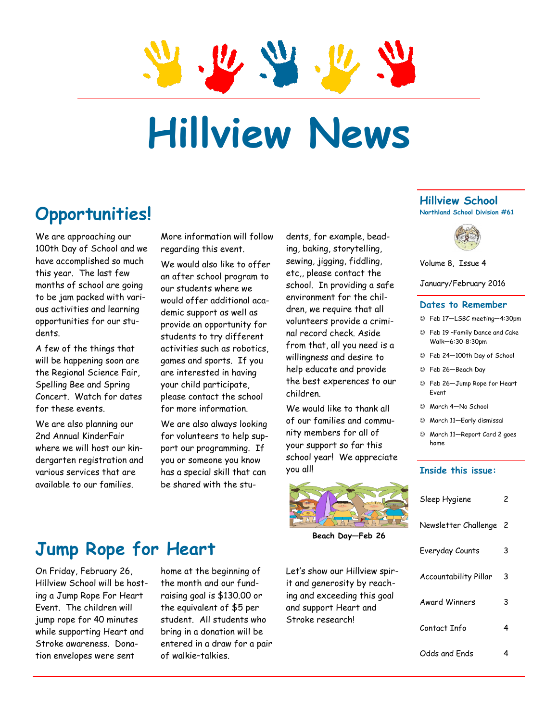# **Hillview News**

## **Opportunities!**

We are approaching our 100th Day of School and we have accomplished so much this year. The last few months of school are going to be jam packed with various activities and learning opportunities for our students.

A few of the things that will be happening soon are the Regional Science Fair, Spelling Bee and Spring Concert. Watch for dates for these events.

We are also planning our 2nd Annual KinderFair where we will host our kindergarten registration and various services that are available to our families.

More information will follow regarding this event.

We would also like to offer an after school program to our students where we would offer additional academic support as well as provide an opportunity for students to try different activities such as robotics, games and sports. If you are interested in having your child participate, please contact the school for more information.

We are also always looking for volunteers to help support our programming. If you or someone you know has a special skill that can be shared with the stu-

## **Jump Rope for Heart**

On Friday, February 26, Hillview School will be hosting a Jump Rope For Heart Event. The children will jump rope for 40 minutes while supporting Heart and Stroke awareness. Donation envelopes were sent

home at the beginning of the month and our fundraising goal is \$130.00 or the equivalent of \$5 per student. All students who bring in a donation will be entered in a draw for a pair of walkie–talkies.

dents, for example, beading, baking, storytelling, sewing, jigging, fiddling, etc,, please contact the school. In providing a safe environment for the children, we require that all volunteers provide a criminal record check. Aside from that, all you need is a willingness and desire to help educate and provide the best experences to our children.

We would like to thank all of our families and community members for all of your support so far this school year! We appreciate you all!



**Beach Day—Feb 26**

Let's show our Hillview spirit and generosity by reaching and exceeding this goal and support Heart and Stroke research!

#### **Hillview School Northland School Division #61**



Volume 8, Issue 4

January/February 2016

#### **Dates to Remember**

- Feb 17—LSBC meeting—4:30pm
- Feb 19 –Family Dance and Cake Walk—6:30-8:30pm
- Feb 24—100th Day of School
- Feb 26—Beach Day
- Feb 26—Jump Rope for Heart Event
- March 4—No School
- March 11—Early dismissal
- March 11—Report Card 2 goes home

#### **Inside this issue:**

| Sleep Hygiene         | 2   |
|-----------------------|-----|
| Newsletter Challenge  | - 2 |
| Everyday Counts       | 3   |
| Accountability Pillar | 3   |
| <b>Award Winners</b>  | 3   |
| Contact Info          | 4   |
| Odds and Ends         | 4   |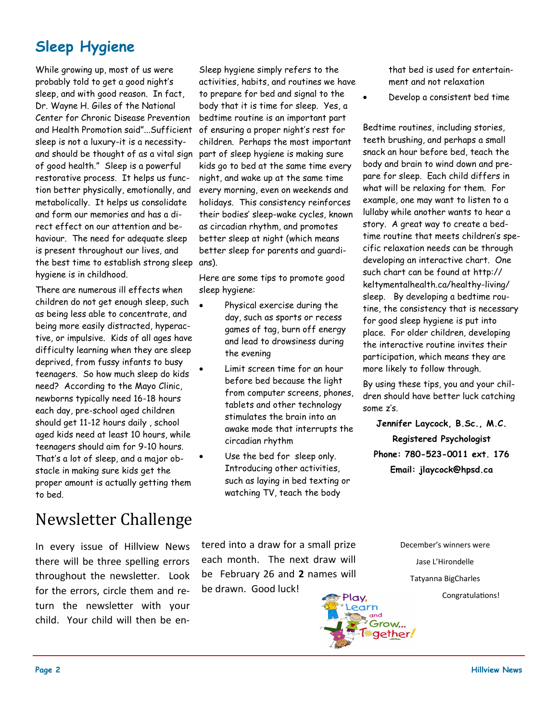## **Sleep Hygiene**

While growing up, most of us were probably told to get a good night's sleep, and with good reason. In fact, Dr. Wayne H. Giles of the National Center for Chronic Disease Prevention and Health Promotion said"...Sufficient sleep is not a luxury-it is a necessityand should be thought of as a vital sign of good health." Sleep is a powerful restorative process. It helps us function better physically, emotionally, and metabolically. It helps us consolidate and form our memories and has a direct effect on our attention and behaviour. The need for adequate sleep is present throughout our lives, and the best time to establish strong sleep ans). hygiene is in childhood.

There are numerous ill effects when children do not get enough sleep, such as being less able to concentrate, and being more easily distracted, hyperactive, or impulsive. Kids of all ages have difficulty learning when they are sleep deprived, from fussy infants to busy teenagers. So how much sleep do kids need? According to the Mayo Clinic, newborns typically need 16-18 hours each day, pre-school aged children should get 11-12 hours daily , school aged kids need at least 10 hours, while teenagers should aim for 9-10 hours. That's a lot of sleep, and a major obstacle in making sure kids get the proper amount is actually getting them to bed.

## Newsletter Challenge

In every issue of Hillview News there will be three spelling errors throughout the newsletter. Look for the errors, circle them and return the newsletter with your child. Your child will then be en-

Sleep hygiene simply refers to the activities, habits, and routines we have to prepare for bed and signal to the body that it is time for sleep. Yes, a bedtime routine is an important part of ensuring a proper night's rest for children. Perhaps the most important part of sleep hygiene is making sure kids go to bed at the same time every night, and wake up at the same time every morning, even on weekends and holidays. This consistency reinforces their bodies' sleep-wake cycles, known as circadian rhythm, and promotes better sleep at night (which means better sleep for parents and guardi-

Here are some tips to promote good sleep hygiene:

- Physical exercise during the day, such as sports or recess games of tag, burn off energy and lead to drowsiness during the evening
- Limit screen time for an hour before bed because the light from computer screens, phones, tablets and other technology stimulates the brain into an awake mode that interrupts the circadian rhythm
- Use the bed for sleep only. Introducing other activities, such as laying in bed texting or watching TV, teach the body

that bed is used for entertainment and not relaxation

Develop a consistent bed time

Bedtime routines, including stories, teeth brushing, and perhaps a small snack an hour before bed, teach the body and brain to wind down and prepare for sleep. Each child differs in what will be relaxing for them. For example, one may want to listen to a lullaby while another wants to hear a story. A great way to create a bedtime routine that meets children's specific relaxation needs can be through developing an interactive chart. One such chart can be found at http:// keltymentalhealth.ca/healthy-living/ sleep. By developing a bedtime routine, the consistency that is necessary for good sleep hygiene is put into place. For older children, developing the interactive routine invites their participation, which means they are more likely to follow through.

By using these tips, you and your children should have better luck catching some z's.

**Jennifer Laycock, B.Sc., M.C. Registered Psychologist Phone: 780-523-0011 ext. 176 Email: jlaycock@hpsd.ca**

tered into a draw for a small prize each month. The next draw will be February 26 and **2** names will be drawn. Good luck!



December's winners were Jase L'Hirondelle Tatyanna BigCharles Congratulations!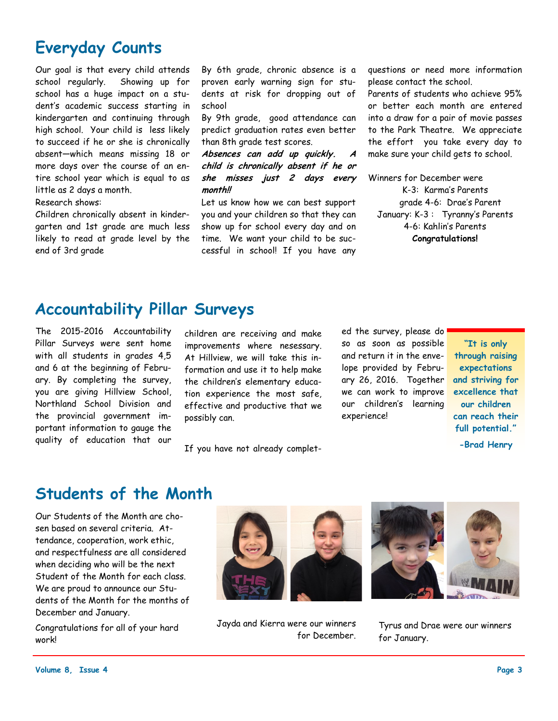## **Everyday Counts**

Our goal is that every child attends school regularly. Showing up for school has a huge impact on a student's academic success starting in kindergarten and continuing through high school. Your child is less likely to succeed if he or she is chronically absent—which means missing 18 or more days over the course of an entire school year which is equal to as little as 2 days a month.

Research shows:

Children chronically absent in kindergarten and 1st grade are much less likely to read at grade level by the end of 3rd grade

By 6th grade, chronic absence is a proven early warning sign for students at risk for dropping out of school

By 9th grade, good attendance can predict graduation rates even better than 8th grade test scores.

Absences can add up quickly. **child is chronically absent if he or she misses just 2 days every month!!** 

Let us know how we can best support you and your children so that they can show up for school every day and on time. We want your child to be successful in school! If you have any

questions or need more information please contact the school.

Parents of students who achieve 95% or better each month are entered into a draw for a pair of movie passes to the Park Theatre. We appreciate the effort you take every day to make sure your child gets to school.

Winners for December were

K-3: Karma's Parents grade 4-6: Drae's Parent January: K-3 : Tyranny's Parents 4-6: Kahlin's Parents **Congratulations!**

### **Accountability Pillar Surveys**

The 2015-2016 Accountability Pillar Surveys were sent home with all students in grades 4,5 and 6 at the beginning of February. By completing the survey, you are giving Hillview School, Northland School Division and the provincial government important information to gauge the quality of education that our

children are receiving and make improvements where nesessary. At Hillview, we will take this information and use it to help make the children's elementary education experience the most safe, effective and productive that we possibly can.

If you have not already complet-

ed the survey, please do! so as soon as possible and return it in the envelope provided by February 26, 2016. Together we can work to improve our children's learning experience!

**"It is only through raising expectations and striving for excellence that our children can reach their full potential."**

**-Brad Henry**

#### **Students of the Month**

Our Students of the Month are chosen based on several criteria. Attendance, cooperation, work ethic, and respectfulness are all considered when deciding who will be the next Student of the Month for each class. We are proud to announce our Students of the Month for the months of December and January.

Congratulations for all of your hard work!



 Jayda and Kierra were our winners for December.



Tyrus and Drae were our winners for January.